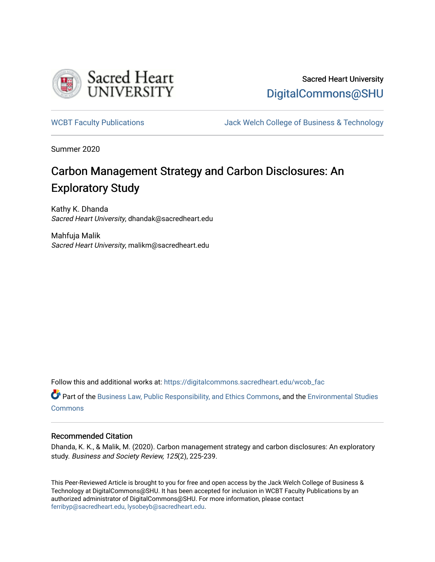

# Sacred Heart University [DigitalCommons@SHU](https://digitalcommons.sacredheart.edu/)

[WCBT Faculty Publications](https://digitalcommons.sacredheart.edu/wcob_fac) **MEGAL SERVINGS** Jack Welch College of Business & Technology

Summer 2020

# Carbon Management Strategy and Carbon Disclosures: An Exploratory Study

Kathy K. Dhanda Sacred Heart University, dhandak@sacredheart.edu

Mahfuja Malik Sacred Heart University, malikm@sacredheart.edu

Follow this and additional works at: [https://digitalcommons.sacredheart.edu/wcob\\_fac](https://digitalcommons.sacredheart.edu/wcob_fac?utm_source=digitalcommons.sacredheart.edu%2Fwcob_fac%2F554&utm_medium=PDF&utm_campaign=PDFCoverPages)

Part of the [Business Law, Public Responsibility, and Ethics Commons](http://network.bepress.com/hgg/discipline/628?utm_source=digitalcommons.sacredheart.edu%2Fwcob_fac%2F554&utm_medium=PDF&utm_campaign=PDFCoverPages), and the Environmental Studies [Commons](http://network.bepress.com/hgg/discipline/1333?utm_source=digitalcommons.sacredheart.edu%2Fwcob_fac%2F554&utm_medium=PDF&utm_campaign=PDFCoverPages)

#### Recommended Citation

Dhanda, K. K., & Malik, M. (2020). Carbon management strategy and carbon disclosures: An exploratory study. Business and Society Review, 125(2), 225-239.

This Peer-Reviewed Article is brought to you for free and open access by the Jack Welch College of Business & Technology at DigitalCommons@SHU. It has been accepted for inclusion in WCBT Faculty Publications by an authorized administrator of DigitalCommons@SHU. For more information, please contact [ferribyp@sacredheart.edu, lysobeyb@sacredheart.edu.](mailto:ferribyp@sacredheart.edu,%20lysobeyb@sacredheart.edu)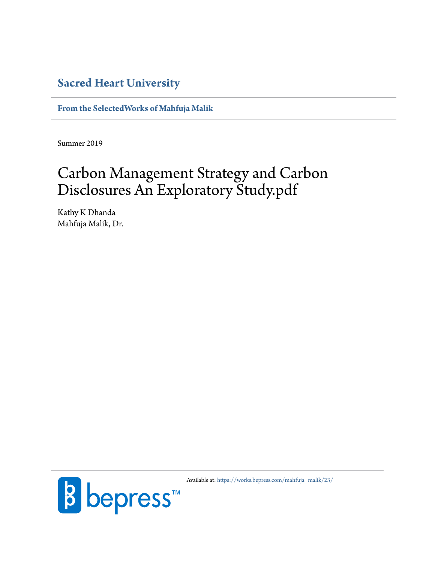# **[Sacred Heart University](https://www.sacredheart.edu)**

**[From the SelectedWorks of Mahfuja Malik](https://works.bepress.com/mahfuja_malik/)**

Summer 2019

# Carbon Management Strategy and Carbon Disclosures An Exploratory Study.pdf

Kathy K Dhanda Mahfuja Malik, Dr.



Available at: [https://works.bepress.com/mahfuja\\_malik/23/](https://works.bepress.com/mahfuja_malik/23/)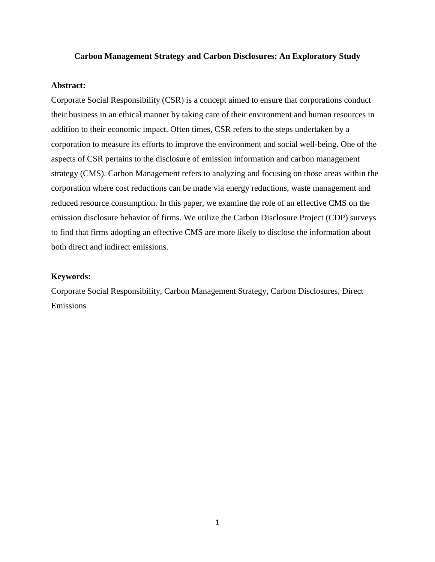#### **Carbon Management Strategy and Carbon Disclosures: An Exploratory Study**

### **Abstract:**

Corporate Social Responsibility (CSR) is a concept aimed to ensure that corporations conduct their business in an ethical manner by taking care of their environment and human resources in addition to their economic impact. Often times, CSR refers to the steps undertaken by a corporation to measure its efforts to improve the environment and social well-being. One of the aspects of CSR pertains to the disclosure of emission information and carbon management strategy (CMS). Carbon Management refers to analyzing and focusing on those areas within the corporation where cost reductions can be made via energy reductions, waste management and reduced resource consumption. In this paper, we examine the role of an effective CMS on the emission disclosure behavior of firms. We utilize the Carbon Disclosure Project (CDP) surveys to find that firms adopting an effective CMS are more likely to disclose the information about both direct and indirect emissions.

#### **Keywords:**

Corporate Social Responsibility, Carbon Management Strategy, Carbon Disclosures, Direct Emissions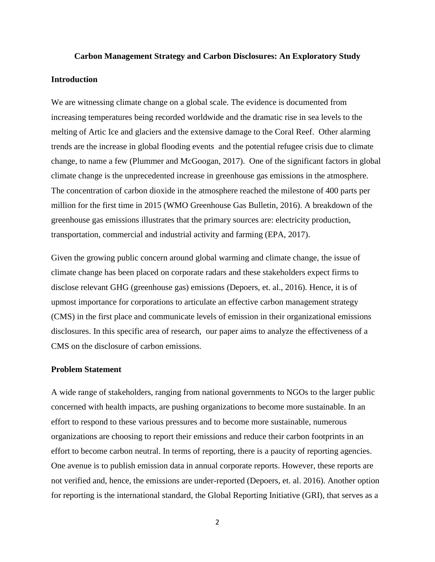### **Carbon Management Strategy and Carbon Disclosures: An Exploratory Study**

### **Introduction**

We are witnessing climate change on a global scale. The evidence is documented from increasing temperatures being recorded worldwide and the dramatic rise in sea levels to the melting of Artic Ice and glaciers and the extensive damage to the Coral Reef. Other alarming trends are the increase in global flooding events and the potential refugee crisis due to climate change, to name a few (Plummer and McGoogan, 2017). One of the significant factors in global climate change is the unprecedented increase in greenhouse gas emissions in the atmosphere. The concentration of carbon dioxide in the atmosphere reached the milestone of 400 parts per million for the first time in 2015 (WMO Greenhouse Gas Bulletin, 2016). A breakdown of the greenhouse gas emissions illustrates that the primary sources are: electricity production, transportation, commercial and industrial activity and farming (EPA, 2017).

Given the growing public concern around global warming and climate change, the issue of climate change has been placed on corporate radars and these stakeholders expect firms to disclose relevant GHG (greenhouse gas) emissions (Depoers, et. al., 2016). Hence, it is of upmost importance for corporations to articulate an effective carbon management strategy (CMS) in the first place and communicate levels of emission in their organizational emissions disclosures. In this specific area of research, our paper aims to analyze the effectiveness of a CMS on the disclosure of carbon emissions.

#### **Problem Statement**

A wide range of stakeholders, ranging from national governments to NGOs to the larger public concerned with health impacts, are pushing organizations to become more sustainable. In an effort to respond to these various pressures and to become more sustainable, numerous organizations are choosing to report their emissions and reduce their carbon footprints in an effort to become carbon neutral. In terms of reporting, there is a paucity of reporting agencies. One avenue is to publish emission data in annual corporate reports. However, these reports are not verified and, hence, the emissions are under-reported (Depoers, et. al. 2016). Another option for reporting is the international standard, the Global Reporting Initiative (GRI), that serves as a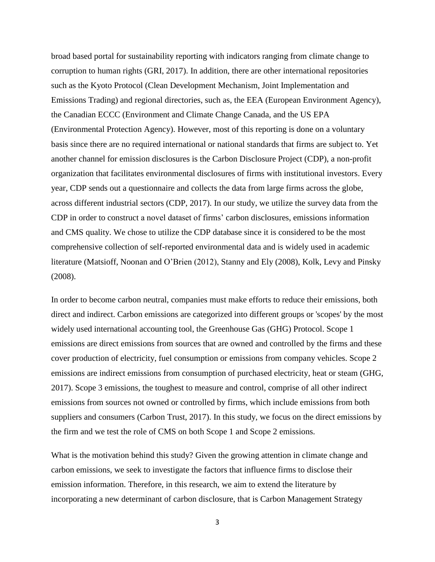broad based portal for sustainability reporting with indicators ranging from climate change to corruption to human rights (GRI, 2017). In addition, there are other international repositories such as the Kyoto Protocol (Clean Development Mechanism, Joint Implementation and Emissions Trading) and regional directories, such as, the EEA (European Environment Agency), the Canadian ECCC (Environment and Climate Change Canada, and the US EPA (Environmental Protection Agency). However, most of this reporting is done on a voluntary basis since there are no required international or national standards that firms are subject to. Yet another channel for emission disclosures is the Carbon Disclosure Project (CDP), a non-profit organization that facilitates environmental disclosures of firms with institutional investors. Every year, CDP sends out a questionnaire and collects the data from large firms across the globe, across different industrial sectors (CDP, 2017). In our study, we utilize the survey data from the CDP in order to construct a novel dataset of firms' carbon disclosures, emissions information and CMS quality. We chose to utilize the CDP database since it is considered to be the most comprehensive collection of self-reported environmental data and is widely used in academic literature (Matsioff, Noonan and O'Brien (2012), Stanny and Ely (2008), Kolk, Levy and Pinsky (2008).

In order to become carbon neutral, companies must make efforts to reduce their emissions, both direct and indirect. Carbon emissions are categorized into different groups or 'scopes' by the most widely used international accounting tool, the Greenhouse Gas (GHG) Protocol. Scope 1 emissions are direct emissions from sources that are owned and controlled by the firms and these cover production of electricity, fuel consumption or emissions from company vehicles. Scope 2 emissions are indirect emissions from consumption of purchased electricity, heat or steam (GHG, 2017). Scope 3 emissions, the toughest to measure and control, comprise of all other indirect emissions from sources not owned or controlled by firms, which include emissions from both suppliers and consumers (Carbon Trust, 2017). In this study, we focus on the direct emissions by the firm and we test the role of CMS on both Scope 1 and Scope 2 emissions.

What is the motivation behind this study? Given the growing attention in climate change and carbon emissions, we seek to investigate the factors that influence firms to disclose their emission information. Therefore, in this research, we aim to extend the literature by incorporating a new determinant of carbon disclosure, that is Carbon Management Strategy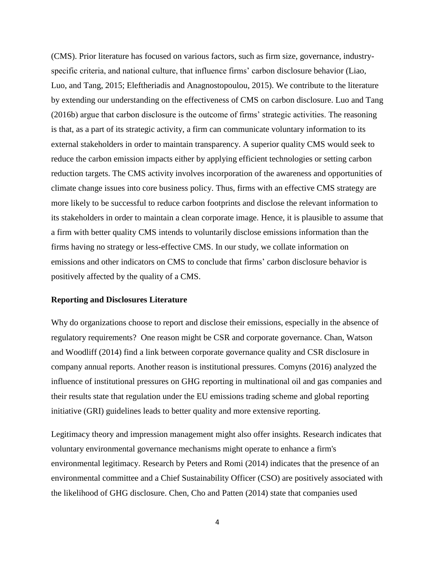(CMS). Prior literature has focused on various factors, such as firm size, governance, industryspecific criteria, and national culture, that influence firms' carbon disclosure behavior (Liao, Luo, and Tang, 2015; Eleftheriadis and Anagnostopoulou, 2015). We contribute to the literature by extending our understanding on the effectiveness of CMS on carbon disclosure. Luo and Tang (2016b) argue that carbon disclosure is the outcome of firms' strategic activities. The reasoning is that, as a part of its strategic activity, a firm can communicate voluntary information to its external stakeholders in order to maintain transparency. A superior quality CMS would seek to reduce the carbon emission impacts either by applying efficient technologies or setting carbon reduction targets. The CMS activity involves incorporation of the awareness and opportunities of climate change issues into core business policy. Thus, firms with an effective CMS strategy are more likely to be successful to reduce carbon footprints and disclose the relevant information to its stakeholders in order to maintain a clean corporate image. Hence, it is plausible to assume that a firm with better quality CMS intends to voluntarily disclose emissions information than the firms having no strategy or less-effective CMS. In our study, we collate information on emissions and other indicators on CMS to conclude that firms' carbon disclosure behavior is positively affected by the quality of a CMS.

#### **Reporting and Disclosures Literature**

Why do organizations choose to report and disclose their emissions, especially in the absence of regulatory requirements? One reason might be CSR and corporate governance. Chan, Watson and Woodliff (2014) find a link between corporate governance quality and CSR disclosure in company annual reports. Another reason is institutional pressures. Comyns (2016) analyzed the influence of institutional pressures on GHG reporting in multinational oil and gas companies and their results state that regulation under the EU emissions trading scheme and global reporting initiative (GRI) guidelines leads to better quality and more extensive reporting.

Legitimacy theory and impression management might also offer insights. Research indicates that voluntary environmental governance mechanisms might operate to enhance a firm's environmental legitimacy. Research by Peters and Romi (2014) indicates that the presence of an environmental committee and a Chief Sustainability Officer (CSO) are positively associated with the likelihood of GHG disclosure. Chen, Cho and Patten (2014) state that companies used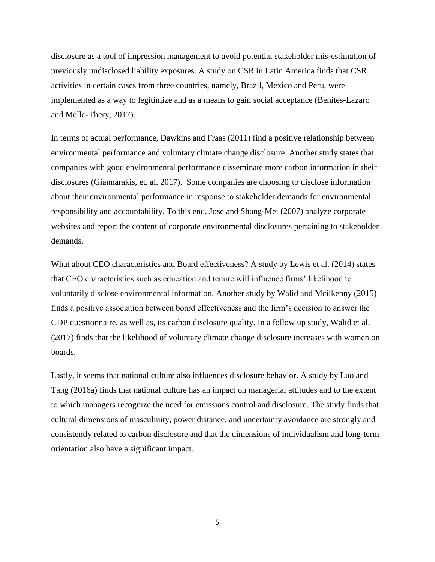disclosure as a tool of impression management to avoid potential stakeholder mis-estimation of previously undisclosed liability exposures. A study on CSR in Latin America finds that CSR activities in certain cases from three countries, namely, Brazil, Mexico and Peru, were implemented as a way to legitimize and as a means to gain social acceptance (Benites-Lazaro and Mello-Thery, 2017).

In terms of actual performance, Dawkins and Fraas (2011) find a positive relationship between environmental performance and voluntary climate change disclosure. Another study states that companies with good environmental performance disseminate more carbon information in their disclosures (Giannarakis, et. al. 2017). Some companies are choosing to disclose information about their environmental performance in response to stakeholder demands for environmental responsibility and accountability. To this end, Jose and Shang-Mei (2007) analyze corporate websites and report the content of corporate environmental disclosures pertaining to stakeholder demands.

What about CEO characteristics and Board effectiveness? A study by Lewis et al. (2014) states that CEO characteristics such as education and tenure will influence firms' likelihood to voluntarily disclose environmental information. Another study by Walid and Mcilkenny (2015) finds a positive association between board effectiveness and the firm's decision to answer the CDP questionnaire, as well as, its carbon disclosure quality. In a follow up study, Walid et al. (2017) finds that the likelihood of voluntary climate change disclosure increases with women on boards.

Lastly, it seems that national culture also influences disclosure behavior. A study by Luo and Tang (2016a) finds that national culture has an impact on managerial attitudes and to the extent to which managers recognize the need for emissions control and disclosure. The study finds that cultural dimensions of masculinity, power distance, and uncertainty avoidance are strongly and consistently related to carbon disclosure and that the dimensions of individualism and long-term orientation also have a significant impact.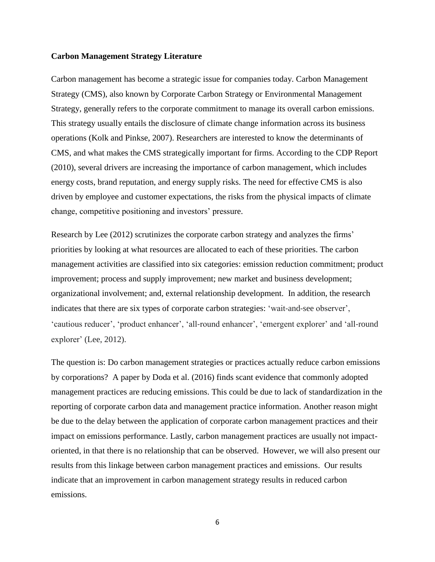#### **Carbon Management Strategy Literature**

Carbon management has become a strategic issue for companies today. Carbon Management Strategy (CMS), also known by Corporate Carbon Strategy or Environmental Management Strategy, generally refers to the corporate commitment to manage its overall carbon emissions. This strategy usually entails the disclosure of climate change information across its business operations (Kolk and Pinkse, 2007). Researchers are interested to know the determinants of CMS, and what makes the CMS strategically important for firms. According to the CDP Report (2010), several drivers are increasing the importance of carbon management, which includes energy costs, brand reputation, and energy supply risks. The need for effective CMS is also driven by employee and customer expectations, the risks from the physical impacts of climate change, competitive positioning and investors' pressure.

Research by Lee (2012) scrutinizes the corporate carbon strategy and analyzes the firms' priorities by looking at what resources are allocated to each of these priorities. The carbon management activities are classified into six categories: emission reduction commitment; product improvement; process and supply improvement; new market and business development; organizational involvement; and, external relationship development. In addition, the research indicates that there are six types of corporate carbon strategies: 'wait-and-see observer', 'cautious reducer', 'product enhancer', 'all‐round enhancer', 'emergent explorer' and 'all‐round explorer' (Lee, 2012).

The question is: Do carbon management strategies or practices actually reduce carbon emissions by corporations? A paper by Doda et al. (2016) finds scant evidence that commonly adopted management practices are reducing emissions. This could be due to lack of standardization in the reporting of corporate carbon data and management practice information. Another reason might be due to the delay between the application of corporate carbon management practices and their impact on emissions performance. Lastly, carbon management practices are usually not impactoriented, in that there is no relationship that can be observed. However, we will also present our results from this linkage between carbon management practices and emissions. Our results indicate that an improvement in carbon management strategy results in reduced carbon emissions.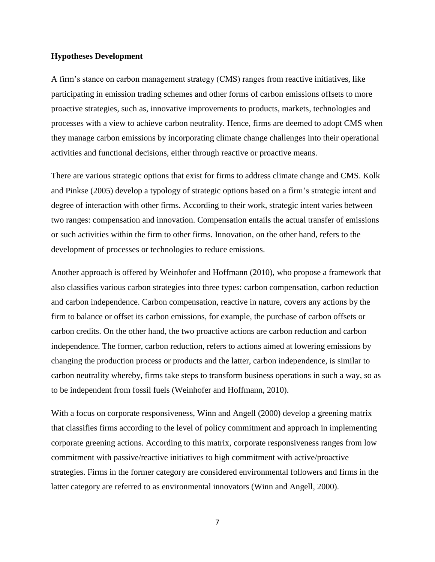### **Hypotheses Development**

A firm's stance on carbon management strategy (CMS) ranges from reactive initiatives, like participating in emission trading schemes and other forms of carbon emissions offsets to more proactive strategies, such as, innovative improvements to products, markets, technologies and processes with a view to achieve carbon neutrality. Hence, firms are deemed to adopt CMS when they manage carbon emissions by incorporating climate change challenges into their operational activities and functional decisions, either through reactive or proactive means.

There are various strategic options that exist for firms to address climate change and CMS. Kolk and Pinkse (2005) develop a typology of strategic options based on a firm's strategic intent and degree of interaction with other firms. According to their work, strategic intent varies between two ranges: compensation and innovation. Compensation entails the actual transfer of emissions or such activities within the firm to other firms. Innovation, on the other hand, refers to the development of processes or technologies to reduce emissions.

Another approach is offered by Weinhofer and Hoffmann (2010), who propose a framework that also classifies various carbon strategies into three types: carbon compensation, carbon reduction and carbon independence. Carbon compensation, reactive in nature, covers any actions by the firm to balance or offset its carbon emissions, for example, the purchase of carbon offsets or carbon credits. On the other hand, the two proactive actions are carbon reduction and carbon independence. The former, carbon reduction, refers to actions aimed at lowering emissions by changing the production process or products and the latter, carbon independence, is similar to carbon neutrality whereby, firms take steps to transform business operations in such a way, so as to be independent from fossil fuels (Weinhofer and Hoffmann, 2010).

With a focus on corporate responsiveness, Winn and Angell (2000) develop a greening matrix that classifies firms according to the level of policy commitment and approach in implementing corporate greening actions. According to this matrix, corporate responsiveness ranges from low commitment with passive/reactive initiatives to high commitment with active/proactive strategies. Firms in the former category are considered environmental followers and firms in the latter category are referred to as environmental innovators (Winn and Angell, 2000).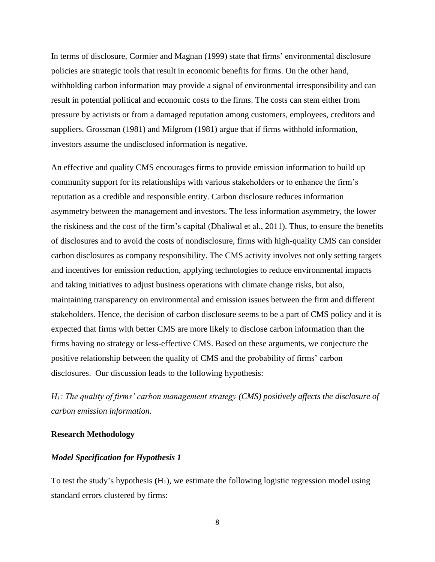In terms of disclosure, Cormier and Magnan (1999) state that firms' environmental disclosure policies are strategic tools that result in economic benefits for firms. On the other hand, withholding carbon information may provide a signal of environmental irresponsibility and can result in potential political and economic costs to the firms. The costs can stem either from pressure by activists or from a damaged reputation among customers, employees, creditors and suppliers. Grossman (1981) and Milgrom (1981) argue that if firms withhold information, investors assume the undisclosed information is negative.

An effective and quality CMS encourages firms to provide emission information to build up community support for its relationships with various stakeholders or to enhance the firm's reputation as a credible and responsible entity. Carbon disclosure reduces information asymmetry between the management and investors. The less information asymmetry, the lower the riskiness and the cost of the firm's capital (Dhaliwal et al., 2011). Thus, to ensure the benefits of disclosures and to avoid the costs of nondisclosure, firms with high-quality CMS can consider carbon disclosures as company responsibility. The CMS activity involves not only setting targets and incentives for emission reduction, applying technologies to reduce environmental impacts and taking initiatives to adjust business operations with climate change risks, but also, maintaining transparency on environmental and emission issues between the firm and different stakeholders. Hence, the decision of carbon disclosure seems to be a part of CMS policy and it is expected that firms with better CMS are more likely to disclose carbon information than the firms having no strategy or less-effective CMS. Based on these arguments, we conjecture the positive relationship between the quality of CMS and the probability of firms' carbon disclosures. Our discussion leads to the following hypothesis:

*H1: The quality of firms' carbon management strategy (CMS) positively affects the disclosure of carbon emission information.* 

#### **Research Methodology**

#### *Model Specification for Hypothesis 1*

To test the study's hypothesis **(**H1), we estimate the following logistic regression model using standard errors clustered by firms: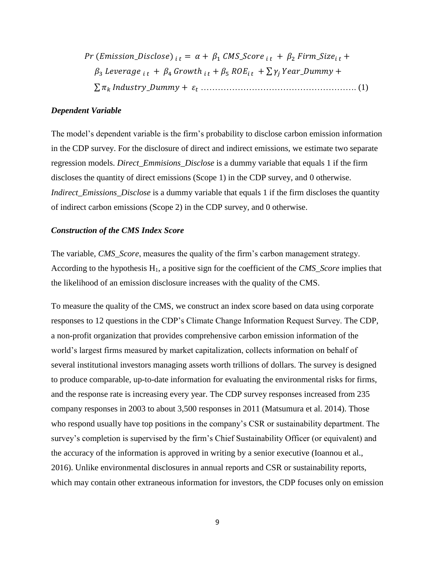Pr (Emission\_Disclose)  $_{i,t} = \alpha + \beta_1$  CMS\_Score  $_{i,t} + \beta_2$  Firm\_Size<sub>it</sub> +  $\beta_3$  Leverage  $_{i,t} + \beta_4$  Growth  $_{i,t} + \beta_5$  ROE<sub>it</sub> +  $\sum \gamma_i$  Year\_Dummy + ∑ \_ + ………………………………………………. (1)

#### *Dependent Variable*

The model's dependent variable is the firm's probability to disclose carbon emission information in the CDP survey. For the disclosure of direct and indirect emissions, we estimate two separate regression models. *Direct\_Emmisions\_Disclose* is a dummy variable that equals 1 if the firm discloses the quantity of direct emissions (Scope 1) in the CDP survey, and 0 otherwise. *Indirect Emissions Disclose* is a dummy variable that equals 1 if the firm discloses the quantity of indirect carbon emissions (Scope 2) in the CDP survey, and 0 otherwise.

#### *Construction of the CMS Index Score*

The variable, *CMS\_Score*, measures the quality of the firm's carbon management strategy. According to the hypothesis H1, a positive sign for the coefficient of the *CMS\_Score* implies that the likelihood of an emission disclosure increases with the quality of the CMS.

To measure the quality of the CMS, we construct an index score based on data using corporate responses to 12 questions in the CDP's Climate Change Information Request Survey. The CDP, a non-profit organization that provides comprehensive carbon emission information of the world's largest firms measured by market capitalization, collects information on behalf of several institutional investors managing assets worth trillions of dollars. The survey is designed to produce comparable, up-to-date information for evaluating the environmental risks for firms, and the response rate is increasing every year. The CDP survey responses increased from 235 company responses in 2003 to about 3,500 responses in 2011 (Matsumura et al. 2014). Those who respond usually have top positions in the company's CSR or sustainability department. The survey's completion is supervised by the firm's Chief Sustainability Officer (or equivalent) and the accuracy of the information is approved in writing by a senior executive (Ioannou et al., 2016). Unlike environmental disclosures in annual reports and CSR or sustainability reports, which may contain other extraneous information for investors, the CDP focuses only on emission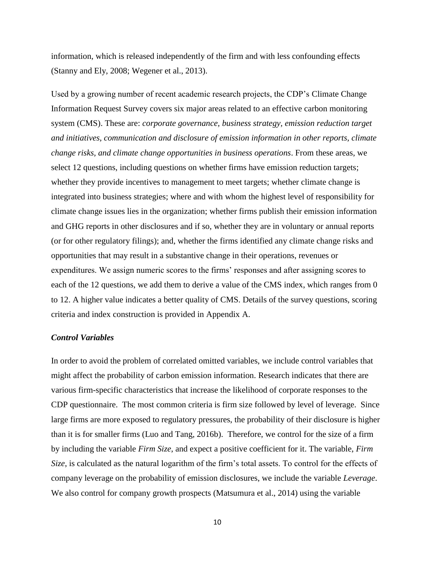information, which is released independently of the firm and with less confounding effects (Stanny and Ely, 2008; Wegener et al., 2013).

Used by a growing number of recent academic research projects, the CDP's Climate Change Information Request Survey covers six major areas related to an effective carbon monitoring system (CMS). These are: *corporate governance, business strategy, emission reduction target and initiatives, communication and disclosure of emission information in other reports, climate change risks, and climate change opportunities in business operations*. From these areas, we select 12 questions, including questions on whether firms have emission reduction targets; whether they provide incentives to management to meet targets; whether climate change is integrated into business strategies; where and with whom the highest level of responsibility for climate change issues lies in the organization; whether firms publish their emission information and GHG reports in other disclosures and if so, whether they are in voluntary or annual reports (or for other regulatory filings); and, whether the firms identified any climate change risks and opportunities that may result in a substantive change in their operations, revenues or expenditures. We assign numeric scores to the firms' responses and after assigning scores to each of the 12 questions, we add them to derive a value of the CMS index, which ranges from 0 to 12. A higher value indicates a better quality of CMS. Details of the survey questions, scoring criteria and index construction is provided in Appendix A.

#### *Control Variables*

In order to avoid the problem of correlated omitted variables, we include control variables that might affect the probability of carbon emission information. Research indicates that there are various firm-specific characteristics that increase the likelihood of corporate responses to the CDP questionnaire. The most common criteria is firm size followed by level of leverage. Since large firms are more exposed to regulatory pressures, the probability of their disclosure is higher than it is for smaller firms (Luo and Tang, 2016b). Therefore, we control for the size of a firm by including the variable *Firm Size*, and expect a positive coefficient for it. The variable, *Firm Size*, is calculated as the natural logarithm of the firm's total assets. To control for the effects of company leverage on the probability of emission disclosures, we include the variable *Leverage*. We also control for company growth prospects (Matsumura et al., 2014) using the variable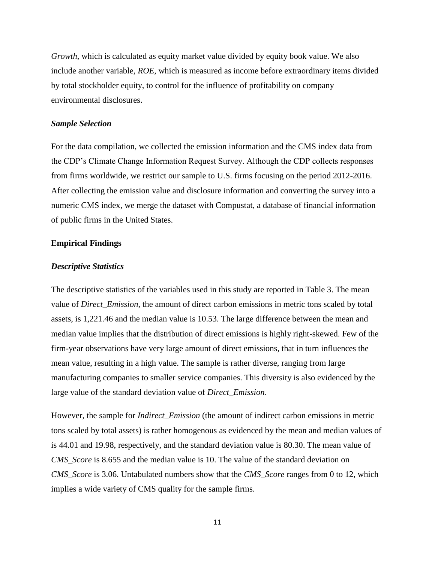*Growth*, which is calculated as equity market value divided by equity book value. We also include another variable, *ROE*, which is measured as income before extraordinary items divided by total stockholder equity, to control for the influence of profitability on company environmental disclosures.

#### *Sample Selection*

For the data compilation, we collected the emission information and the CMS index data from the CDP's Climate Change Information Request Survey. Although the CDP collects responses from firms worldwide, we restrict our sample to U.S. firms focusing on the period 2012-2016. After collecting the emission value and disclosure information and converting the survey into a numeric CMS index, we merge the dataset with Compustat, a database of financial information of public firms in the United States.

#### **Empirical Findings**

#### *Descriptive Statistics*

The descriptive statistics of the variables used in this study are reported in Table 3. The mean value of *Direct\_Emission*, the amount of direct carbon emissions in metric tons scaled by total assets, is 1,221.46 and the median value is 10.53. The large difference between the mean and median value implies that the distribution of direct emissions is highly right-skewed. Few of the firm-year observations have very large amount of direct emissions, that in turn influences the mean value, resulting in a high value. The sample is rather diverse, ranging from large manufacturing companies to smaller service companies. This diversity is also evidenced by the large value of the standard deviation value of *Direct\_Emission*.

However, the sample for *Indirect\_Emission* (the amount of indirect carbon emissions in metric tons scaled by total assets) is rather homogenous as evidenced by the mean and median values of is 44.01 and 19.98, respectively, and the standard deviation value is 80.30. The mean value of *CMS\_Score* is 8.655 and the median value is 10. The value of the standard deviation on *CMS\_Score* is 3.06. Untabulated numbers show that the *CMS\_Score* ranges from 0 to 12, which implies a wide variety of CMS quality for the sample firms.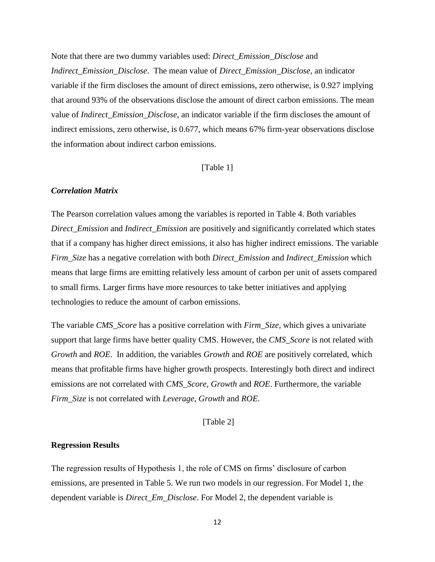Note that there are two dummy variables used: *Direct\_Emission\_Disclose* and *Indirect\_Emission\_Disclose*. The mean value of *Direct\_Emission\_Disclose,* an indicator variable if the firm discloses the amount of direct emissions, zero otherwise, is 0.927 implying that around 93% of the observations disclose the amount of direct carbon emissions. The mean value of *Indirect\_Emission\_Disclose*, an indicator variable if the firm discloses the amount of indirect emissions, zero otherwise, is 0.677, which means 67% firm-year observations disclose the information about indirect carbon emissions.

#### [Table 1]

#### *Correlation Matrix*

The Pearson correlation values among the variables is reported in Table 4. Both variables *Direct\_Emission* and *Indirect\_Emission* are positively and significantly correlated which states that if a company has higher direct emissions, it also has higher indirect emissions. The variable *Firm\_Size* has a negative correlation with both *Direct\_Emission* and *Indirect\_Emission* which means that large firms are emitting relatively less amount of carbon per unit of assets compared to small firms. Larger firms have more resources to take better initiatives and applying technologies to reduce the amount of carbon emissions.

The variable *CMS\_Score* has a positive correlation with *Firm\_Size*, which gives a univariate support that large firms have better quality CMS. However, the *CMS\_Score* is not related with *Growth* and *ROE*. In addition, the variables *Growth* and *ROE* are positively correlated, which means that profitable firms have higher growth prospects. Interestingly both direct and indirect emissions are not correlated with *CMS\_Score, Growth* and *ROE*. Furthermore, the variable *Firm\_Size* is not correlated with *Leverage*, *Growth* and *ROE*.

[Table 2]

#### **Regression Results**

The regression results of Hypothesis 1, the role of CMS on firms' disclosure of carbon emissions, are presented in Table 5. We run two models in our regression. For Model 1, the dependent variable is *Direct\_Em\_Disclose*. For Model 2, the dependent variable is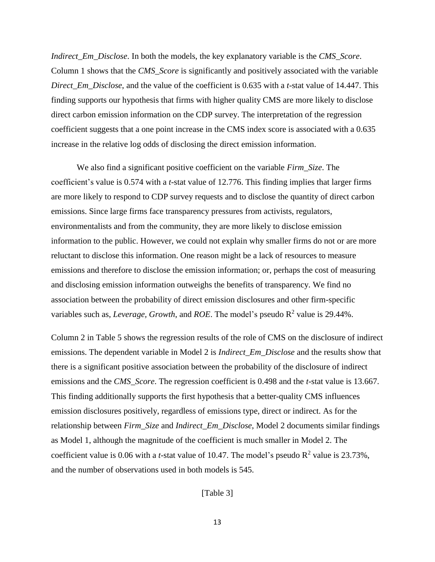*Indirect\_Em\_Disclose*. In both the models, the key explanatory variable is the *CMS\_Score*. Column 1 shows that the *CMS\_Score* is significantly and positively associated with the variable *Direct\_Em\_Disclose*, and the value of the coefficient is 0.635 with a *t*-stat value of 14.447. This finding supports our hypothesis that firms with higher quality CMS are more likely to disclose direct carbon emission information on the CDP survey. The interpretation of the regression coefficient suggests that a one point increase in the CMS index score is associated with a 0.635 increase in the relative log odds of disclosing the direct emission information.

We also find a significant positive coefficient on the variable *Firm\_Size*. The coefficient's value is 0.574 with a *t*-stat value of 12.776. This finding implies that larger firms are more likely to respond to CDP survey requests and to disclose the quantity of direct carbon emissions. Since large firms face transparency pressures from activists, regulators, environmentalists and from the community, they are more likely to disclose emission information to the public. However, we could not explain why smaller firms do not or are more reluctant to disclose this information. One reason might be a lack of resources to measure emissions and therefore to disclose the emission information; or, perhaps the cost of measuring and disclosing emission information outweighs the benefits of transparency. We find no association between the probability of direct emission disclosures and other firm-specific variables such as, *Leverage*, *Growth*, and *ROE*. The model's pseudo  $R^2$  value is 29.44%.

Column 2 in Table 5 shows the regression results of the role of CMS on the disclosure of indirect emissions. The dependent variable in Model 2 is *Indirect\_Em\_Disclose* and the results show that there is a significant positive association between the probability of the disclosure of indirect emissions and the *CMS\_Score*. The regression coefficient is 0.498 and the *t-*stat value is 13.667. This finding additionally supports the first hypothesis that a better-quality CMS influences emission disclosures positively, regardless of emissions type, direct or indirect. As for the relationship between *Firm\_Size* and *Indirect\_Em\_Disclose*, Model 2 documents similar findings as Model 1, although the magnitude of the coefficient is much smaller in Model 2. The coefficient value is 0.06 with a *t*-stat value of 10.47. The model's pseudo  $R^2$  value is 23.73%, and the number of observations used in both models is 545.

[Table 3]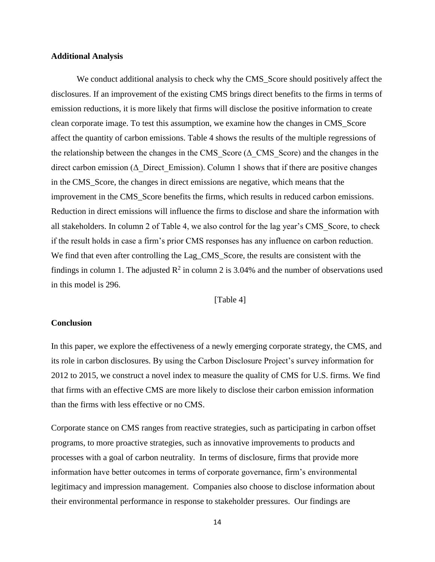#### **Additional Analysis**

We conduct additional analysis to check why the CMS\_Score should positively affect the disclosures. If an improvement of the existing CMS brings direct benefits to the firms in terms of emission reductions, it is more likely that firms will disclose the positive information to create clean corporate image. To test this assumption, we examine how the changes in CMS\_Score affect the quantity of carbon emissions. Table 4 shows the results of the multiple regressions of the relationship between the changes in the CMS Score ( $\Delta$  CMS Score) and the changes in the direct carbon emission ( $\Delta$  Direct Emission). Column 1 shows that if there are positive changes in the CMS\_Score, the changes in direct emissions are negative, which means that the improvement in the CMS\_Score benefits the firms, which results in reduced carbon emissions. Reduction in direct emissions will influence the firms to disclose and share the information with all stakeholders. In column 2 of Table 4, we also control for the lag year's CMS\_Score, to check if the result holds in case a firm's prior CMS responses has any influence on carbon reduction. We find that even after controlling the Lag\_CMS\_Score, the results are consistent with the findings in column 1. The adjusted  $\mathbb{R}^2$  in column 2 is 3.04% and the number of observations used in this model is 296.

[Table 4]

#### **Conclusion**

In this paper, we explore the effectiveness of a newly emerging corporate strategy, the CMS, and its role in carbon disclosures. By using the Carbon Disclosure Project's survey information for 2012 to 2015, we construct a novel index to measure the quality of CMS for U.S. firms. We find that firms with an effective CMS are more likely to disclose their carbon emission information than the firms with less effective or no CMS.

Corporate stance on CMS ranges from reactive strategies, such as participating in carbon offset programs, to more proactive strategies, such as innovative improvements to products and processes with a goal of carbon neutrality. In terms of disclosure, firms that provide more information have better outcomes in terms of corporate governance, firm's environmental legitimacy and impression management. Companies also choose to disclose information about their environmental performance in response to stakeholder pressures. Our findings are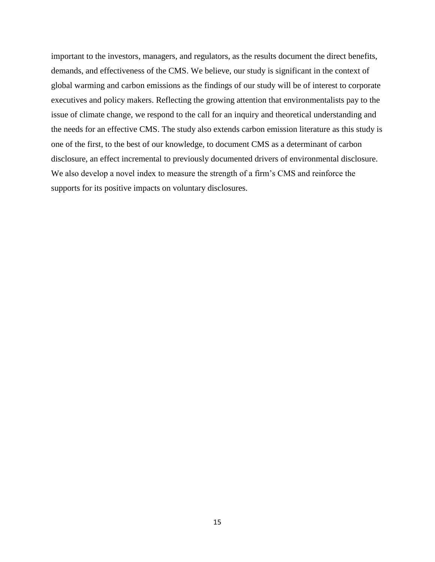important to the investors, managers, and regulators, as the results document the direct benefits, demands, and effectiveness of the CMS. We believe, our study is significant in the context of global warming and carbon emissions as the findings of our study will be of interest to corporate executives and policy makers. Reflecting the growing attention that environmentalists pay to the issue of climate change, we respond to the call for an inquiry and theoretical understanding and the needs for an effective CMS. The study also extends carbon emission literature as this study is one of the first, to the best of our knowledge, to document CMS as a determinant of carbon disclosure, an effect incremental to previously documented drivers of environmental disclosure. We also develop a novel index to measure the strength of a firm's CMS and reinforce the supports for its positive impacts on voluntary disclosures.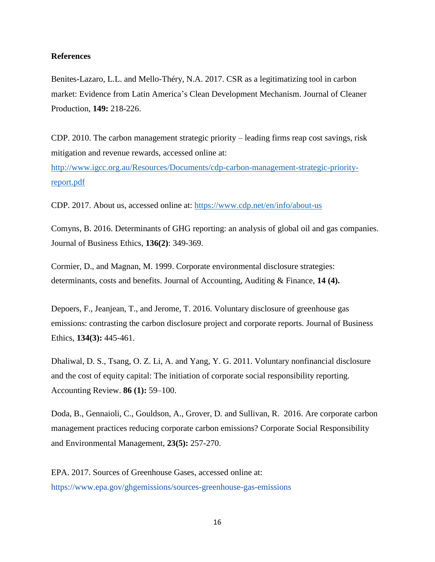#### **References**

Benites-Lazaro, L.L. and Mello-Théry, N.A. 2017. CSR as a legitimatizing tool in carbon market: Evidence from Latin America's Clean Development Mechanism. Journal of Cleaner Production, **149:** 218-226.

CDP. 2010. The carbon management strategic priority – leading firms reap cost savings, risk mitigation and revenue rewards, accessed online at:

[http://www.igcc.org.au/Resources/Documents/cdp-carbon-management-strategic-priority](http://www.igcc.org.au/Resources/Documents/cdp-carbon-management-strategic-priority-report.pdf)[report.pdf](http://www.igcc.org.au/Resources/Documents/cdp-carbon-management-strategic-priority-report.pdf)

CDP. 2017. About us, accessed online at:<https://www.cdp.net/en/info/about-us>

Comyns, B. 2016. Determinants of GHG reporting: an analysis of global oil and gas companies. Journal of Business Ethics, **136(2)**: 349-369.

Cormier, D., and Magnan, M. 1999. Corporate environmental disclosure strategies: determinants, costs and benefits. Journal of Accounting, Auditing & Finance, **14 (4).**

Depoers, F., Jeanjean, T., and Jerome, T. 2016. Voluntary disclosure of greenhouse gas emissions: contrasting the carbon disclosure project and corporate reports. Journal of Business Ethics, **134(3):** 445-461.

Dhaliwal, D. S., Tsang, O. Z. Li, A. and Yang, Y. G. 2011. Voluntary nonfinancial disclosure and the cost of equity capital: The initiation of corporate social responsibility reporting. Accounting Review. **86 (1):** 59–100.

Doda, B., Gennaioli, C., Gouldson, A., Grover, D. and Sullivan, R. 2016. Are corporate carbon management practices reducing corporate carbon emissions? Corporate Social Responsibility and Environmental Management, **23(5):** 257-270.

EPA. 2017. Sources of Greenhouse Gases, accessed online at: https://www.epa.gov/ghgemissions/sources-greenhouse-gas-emissions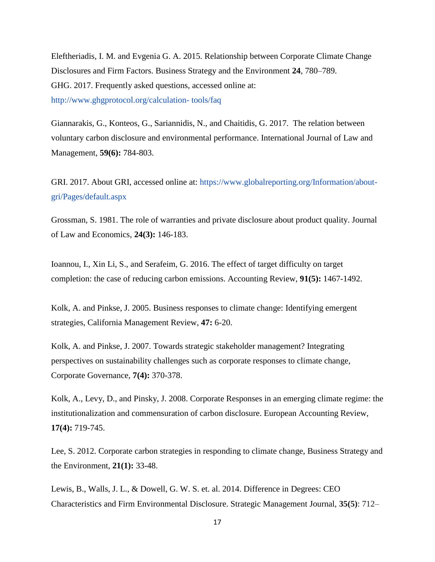Eleftheriadis, I. M. and Evgenia G. A. 2015. Relationship between Corporate Climate Change Disclosures and Firm Factors. Business Strategy and the Environment **24**, 780–789. GHG. 2017. Frequently asked questions, accessed online at: http://www.ghgprotocol.org/calculation- tools/faq

Giannarakis, G., Konteos, G., Sariannidis, N., and Chaitidis, G. 2017. The relation between voluntary carbon disclosure and environmental performance. International Journal of Law and Management, **59(6):** 784-803.

GRI. 2017. About GRI, accessed online at: https://www.globalreporting.org/Information/aboutgri/Pages/default.aspx

Grossman, S. 1981. The role of warranties and private disclosure about product quality. Journal of Law and Economics, **24(3):** 146-183.

Ioannou, I., Xin Li, S., and Serafeim, G. 2016. The effect of target difficulty on target completion: the case of reducing carbon emissions. Accounting Review, **91(5):** 1467-1492.

Kolk, A. and Pinkse, J. 2005. Business responses to climate change: Identifying emergent strategies, California Management Review, **47:** 6-20.

Kolk, A. and Pinkse, J. 2007. Towards strategic stakeholder management? Integrating perspectives on sustainability challenges such as corporate responses to climate change, Corporate Governance, **7(4):** 370-378.

Kolk, A., Levy, D., and Pinsky, J. 2008. Corporate Responses in an emerging climate regime: the institutionalization and commensuration of carbon disclosure. European Accounting Review, **17(4):** 719-745.

Lee, S. 2012. Corporate carbon strategies in responding to climate change, Business Strategy and the Environment, **21(1):** 33-48.

Lewis, B., Walls, J. L., & Dowell, G. W. S. et. al. 2014. Difference in Degrees: CEO Characteristics and Firm Environmental Disclosure. Strategic Management Journal, **35(5)**: 712–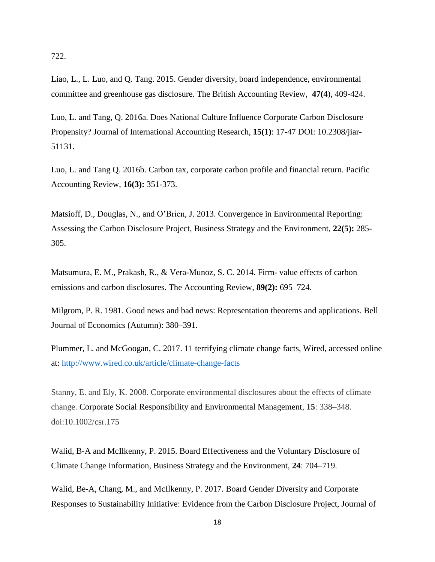722.

Liao, L., L. Luo, and Q. Tang. 2015. Gender diversity, board independence, environmental committee and greenhouse gas disclosure. The British Accounting Review, **47(4**), 409-424.

Luo, L. and Tang, Q. 2016a. Does National Culture Influence Corporate Carbon Disclosure Propensity? Journal of International Accounting Research, **15(1)**: 17-47 DOI: 10.2308/jiar-51131.

Luo, L. and Tang Q. 2016b. Carbon tax, corporate carbon profile and financial return. Pacific Accounting Review, **16(3):** 351-373.

Matsioff, D., Douglas, N., and O'Brien, J. 2013. Convergence in Environmental Reporting: Assessing the Carbon Disclosure Project, Business Strategy and the Environment, **22(5):** 285- 305.

Matsumura, E. M., Prakash, R., & Vera-Munoz, S. C. 2014. Firm- value effects of carbon emissions and carbon disclosures. The Accounting Review, **89(2):** 695–724.

Milgrom, P. R. 1981. Good news and bad news: Representation theorems and applications. Bell Journal of Economics (Autumn): 380–391.

Plummer, L. and McGoogan, C. 2017. 11 terrifying climate change facts, Wired, accessed online at:<http://www.wired.co.uk/article/climate-change-facts>

Stanny, E. and Ely, K. 2008. Corporate environmental disclosures about the effects of climate change. Corporate Social Responsibility and Environmental Management, **15**: 338–348. doi:10.1002/csr.175

Walid, B-A and McIlkenny, P. 2015. Board Effectiveness and the Voluntary Disclosure of Climate Change Information, Business Strategy and the Environment, **24**: 704–719.

Walid, Be-A, Chang, M., and McIlkenny, P. 2017. Board Gender Diversity and Corporate Responses to Sustainability Initiative: Evidence from the Carbon Disclosure Project, Journal of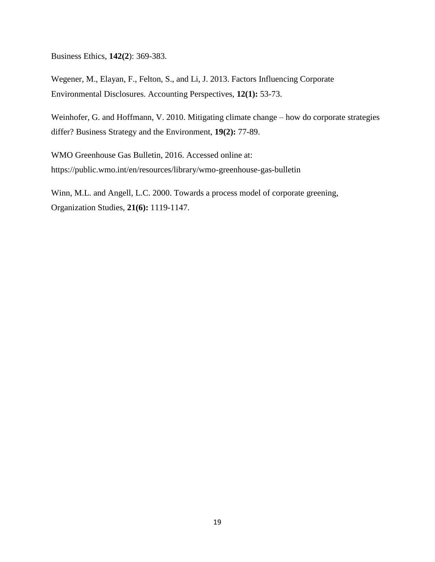Business Ethics, **142(2**): 369-383.

Wegener, M., Elayan, F., Felton, S., and Li, J. 2013. Factors Influencing Corporate Environmental Disclosures. Accounting Perspectives, **12(1):** 53-73.

Weinhofer, G. and Hoffmann, V. 2010. Mitigating climate change – how do corporate strategies differ? Business Strategy and the Environment, **19(2):** 77-89.

WMO Greenhouse Gas Bulletin, 2016. Accessed online at: https://public.wmo.int/en/resources/library/wmo-greenhouse-gas-bulletin

Winn, M.L. and Angell, L.C. 2000. Towards a process model of corporate greening, Organization Studies, **21(6):** 1119-1147.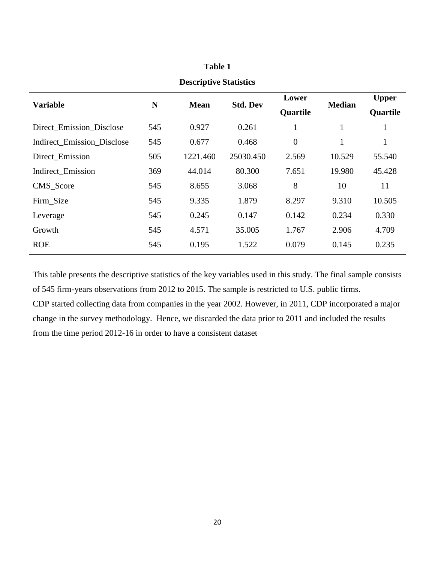| <b>Variable</b>            | N   | <b>Mean</b> | <b>Std. Dev</b> | Lower<br>Quartile | <b>Median</b> | <b>Upper</b><br>Quartile |
|----------------------------|-----|-------------|-----------------|-------------------|---------------|--------------------------|
| Direct_Emission_Disclose   | 545 | 0.927       | 0.261           |                   |               | 1                        |
| Indirect_Emission_Disclose | 545 | 0.677       | 0.468           | $\boldsymbol{0}$  | $\mathbf{1}$  | $\mathbf{1}$             |
| Direct Emission            | 505 | 1221.460    | 25030.450       | 2.569             | 10.529        | 55.540                   |
| Indirect_Emission          | 369 | 44.014      | 80.300          | 7.651             | 19.980        | 45.428                   |
| CMS Score                  | 545 | 8.655       | 3.068           | 8                 | 10            | 11                       |
| Firm Size                  | 545 | 9.335       | 1.879           | 8.297             | 9.310         | 10.505                   |
| Leverage                   | 545 | 0.245       | 0.147           | 0.142             | 0.234         | 0.330                    |
| Growth                     | 545 | 4.571       | 35.005          | 1.767             | 2.906         | 4.709                    |
| <b>ROE</b>                 | 545 | 0.195       | 1.522           | 0.079             | 0.145         | 0.235                    |

# **Table 1 Descriptive Statistics**

# This table presents the descriptive statistics of the key variables used in this study. The final sample consists of 545 firm-years observations from 2012 to 2015. The sample is restricted to U.S. public firms. CDP started collecting data from companies in the year 2002. However, in 2011, CDP incorporated a major change in the survey methodology. Hence, we discarded the data prior to 2011 and included the results from the time period 2012-16 in order to have a consistent dataset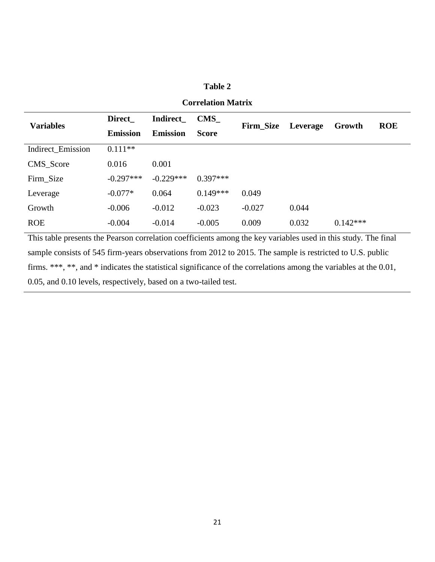### **Table 2**

| <b>Variables</b>  | <b>Direct</b>   | Indirect        | <b>CMS</b>   | <b>Firm Size</b> | Leverage | Growth     | <b>ROE</b> |
|-------------------|-----------------|-----------------|--------------|------------------|----------|------------|------------|
|                   | <b>Emission</b> | <b>Emission</b> | <b>Score</b> |                  |          |            |            |
| Indirect_Emission | $0.111**$       |                 |              |                  |          |            |            |
| CMS Score         | 0.016           | 0.001           |              |                  |          |            |            |
| Firm Size         | $-0.297***$     | $-0.229***$     | $0.397***$   |                  |          |            |            |
| Leverage          | $-0.077*$       | 0.064           | $0.149***$   | 0.049            |          |            |            |
| Growth            | $-0.006$        | $-0.012$        | $-0.023$     | $-0.027$         | 0.044    |            |            |
| <b>ROE</b>        | $-0.004$        | $-0.014$        | $-0.005$     | 0.009            | 0.032    | $0.142***$ |            |

### **Correlation Matrix**

This table presents the Pearson correlation coefficients among the key variables used in this study. The final sample consists of 545 firm-years observations from 2012 to 2015. The sample is restricted to U.S. public firms. \*\*\*, \*\*, and \* indicates the statistical significance of the correlations among the variables at the 0.01, 0.05, and 0.10 levels, respectively, based on a two-tailed test.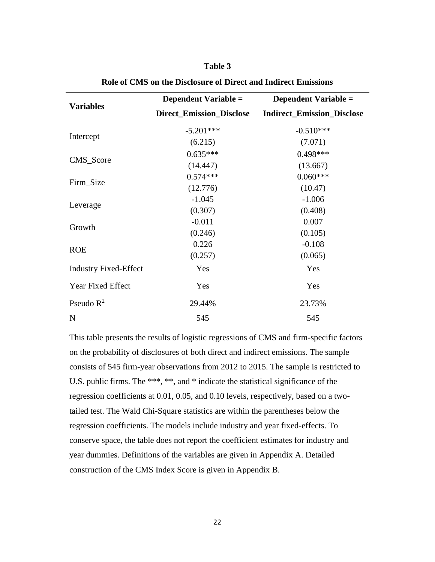### **Table 3**

|                              | <b>Dependent Variable =</b>     | <b>Dependent Variable =</b>       |  |
|------------------------------|---------------------------------|-----------------------------------|--|
| <b>Variables</b>             | <b>Direct_Emission_Disclose</b> | <b>Indirect_Emission_Disclose</b> |  |
|                              | $-5.201***$                     | $-0.510***$                       |  |
| Intercept                    | (6.215)                         | (7.071)                           |  |
| CMS_Score                    | $0.635***$                      | $0.498***$                        |  |
|                              | (14.447)                        | (13.667)                          |  |
|                              | $0.574***$                      | $0.060***$                        |  |
| Firm_Size                    | (12.776)                        | (10.47)                           |  |
|                              | $-1.045$                        | $-1.006$                          |  |
| Leverage                     | (0.307)                         | (0.408)                           |  |
| Growth                       | $-0.011$                        | 0.007                             |  |
|                              | (0.246)                         | (0.105)                           |  |
| <b>ROE</b>                   | 0.226                           | $-0.108$                          |  |
|                              | (0.257)                         | (0.065)                           |  |
| <b>Industry Fixed-Effect</b> | Yes                             | Yes                               |  |
| Year Fixed Effect            | Yes                             | Yes                               |  |
| Pseudo $R^2$                 | 29.44%                          | 23.73%                            |  |
| N                            | 545                             | 545                               |  |

**Role of CMS on the Disclosure of Direct and Indirect Emissions**

This table presents the results of logistic regressions of CMS and firm-specific factors on the probability of disclosures of both direct and indirect emissions. The sample consists of 545 firm-year observations from 2012 to 2015. The sample is restricted to U.S. public firms. The \*\*\*, \*\*, and \* indicate the statistical significance of the regression coefficients at 0.01, 0.05, and 0.10 levels, respectively, based on a twotailed test. The Wald Chi-Square statistics are within the parentheses below the regression coefficients. The models include industry and year fixed-effects. To conserve space, the table does not report the coefficient estimates for industry and year dummies. Definitions of the variables are given in Appendix A. Detailed construction of the CMS Index Score is given in Appendix B.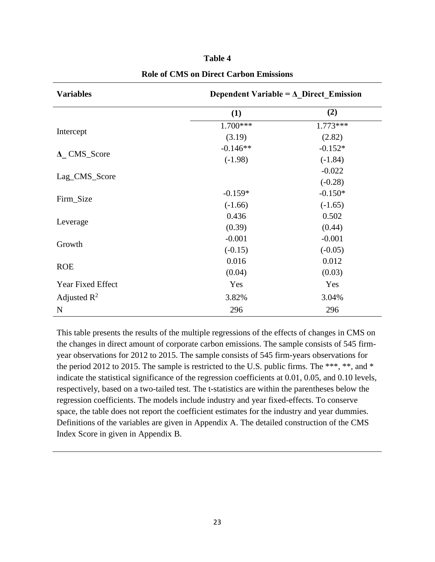| <b>Variables</b>      | Dependent Variable = $\Delta$ Direct Emission |            |  |  |
|-----------------------|-----------------------------------------------|------------|--|--|
|                       | (1)                                           | (2)        |  |  |
|                       | 1.700***                                      | $1.773***$ |  |  |
| Intercept             | (3.19)                                        | (2.82)     |  |  |
|                       | $-0.146**$                                    | $-0.152*$  |  |  |
| $\triangle$ CMS_Score | $(-1.98)$                                     | $(-1.84)$  |  |  |
| Lag_CMS_Score         |                                               | $-0.022$   |  |  |
|                       |                                               | $(-0.28)$  |  |  |
| Firm_Size             | $-0.159*$                                     | $-0.150*$  |  |  |
|                       | $(-1.66)$                                     | $(-1.65)$  |  |  |
|                       | 0.436                                         | 0.502      |  |  |
| Leverage              | (0.39)                                        | (0.44)     |  |  |
| Growth                | $-0.001$                                      | $-0.001$   |  |  |
|                       | $(-0.15)$                                     | $(-0.05)$  |  |  |
| <b>ROE</b>            | 0.016                                         | 0.012      |  |  |
|                       | (0.04)                                        | (0.03)     |  |  |
| Year Fixed Effect     | Yes                                           | Yes        |  |  |
| Adjusted $R^2$        | 3.82%                                         | 3.04%      |  |  |
| $\mathbf N$           | 296                                           | 296        |  |  |

**Table 4 Role of CMS on Direct Carbon Emissions**

This table presents the results of the multiple regressions of the effects of changes in CMS on the changes in direct amount of corporate carbon emissions. The sample consists of 545 firmyear observations for 2012 to 2015. The sample consists of 545 firm-years observations for the period 2012 to 2015. The sample is restricted to the U.S. public firms. The \*\*\*, \*\*, and \* indicate the statistical significance of the regression coefficients at 0.01, 0.05, and 0.10 levels, respectively, based on a two-tailed test. The t-statistics are within the parentheses below the regression coefficients. The models include industry and year fixed-effects. To conserve space, the table does not report the coefficient estimates for the industry and year dummies. Definitions of the variables are given in Appendix A. The detailed construction of the CMS Index Score in given in Appendix B.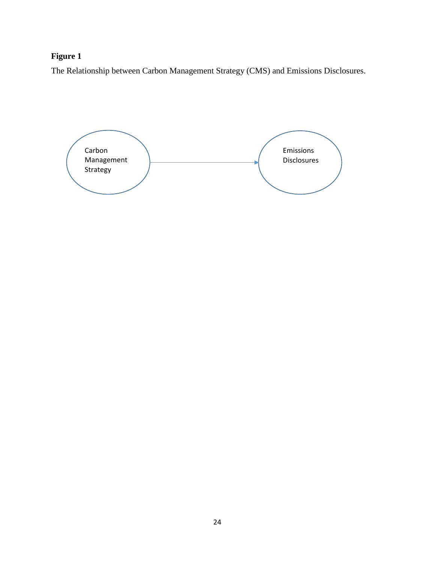## **Figure 1**

The Relationship between Carbon Management Strategy (CMS) and Emissions Disclosures.

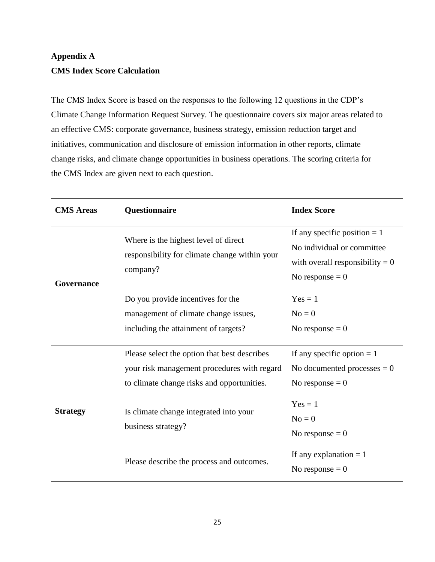# **Appendix A CMS Index Score Calculation**

The CMS Index Score is based on the responses to the following 12 questions in the CDP's Climate Change Information Request Survey. The questionnaire covers six major areas related to an effective CMS: corporate governance, business strategy, emission reduction target and initiatives, communication and disclosure of emission information in other reports, climate change risks, and climate change opportunities in business operations. The scoring criteria for the CMS Index are given next to each question.

| <b>CMS</b> Areas | Questionnaire                                                                                                                             | <b>Index Score</b>                                                                                                     |
|------------------|-------------------------------------------------------------------------------------------------------------------------------------------|------------------------------------------------------------------------------------------------------------------------|
| Governance       | Where is the highest level of direct<br>responsibility for climate change within your<br>company?                                         | If any specific position $= 1$<br>No individual or committee<br>with overall responsibility $= 0$<br>No response $= 0$ |
|                  | Do you provide incentives for the<br>management of climate change issues,<br>including the attainment of targets?                         | $Yes = 1$<br>$No = 0$<br>No response $= 0$                                                                             |
| <b>Strategy</b>  | Please select the option that best describes<br>your risk management procedures with regard<br>to climate change risks and opportunities. | If any specific option $= 1$<br>No documented processes $= 0$<br>No response $= 0$                                     |
|                  | Is climate change integrated into your<br>business strategy?                                                                              | $Yes = 1$<br>$No = 0$<br>No response $= 0$                                                                             |
|                  | Please describe the process and outcomes.                                                                                                 | If any explanation $= 1$<br>No response $= 0$                                                                          |